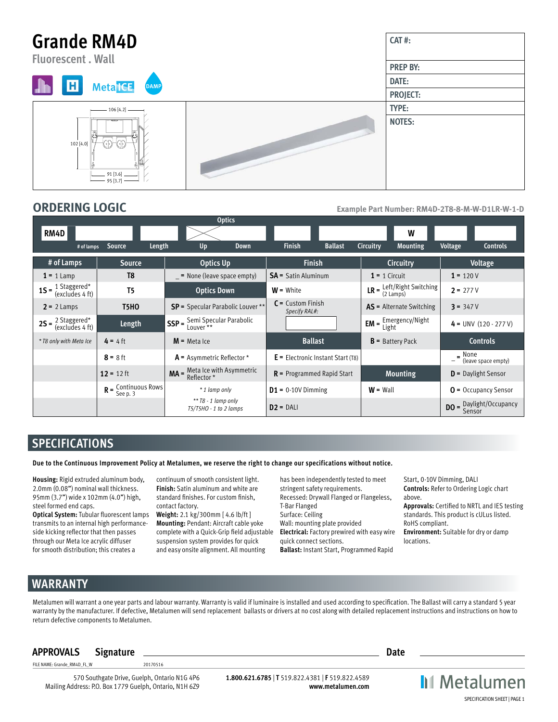#### **Grande RM4D CAT #: Fluorescent . Wall PREP BY: DATE:**  $H$ **Meta** ICE **AM PROJECT: TYPE:** 106 [4.2]**NOTES:** 102 [4.0] (11)  $\langle 4 \rangle$ 91 [3.6] 95 [3.7]

**ORDERING LOGIC Example Part Number: RM4D-2T8-8-M-W-D1LR-W-1-D** 

|                                                                    |                       | <b>Optics</b>                                                                                            |                                      |                                                                   |                                      |  |
|--------------------------------------------------------------------|-----------------------|----------------------------------------------------------------------------------------------------------|--------------------------------------|-------------------------------------------------------------------|--------------------------------------|--|
| RM4D                                                               |                       |                                                                                                          |                                      | W                                                                 |                                      |  |
| # of lamps                                                         | Source<br>Length      | Up<br><b>Down</b>                                                                                        | <b>Finish</b><br><b>Ballast</b>      | Circuitry<br><b>Mounting</b>                                      | Voltage<br><b>Controls</b>           |  |
| # of Lamps                                                         | <b>Source</b>         | <b>Optics Up</b>                                                                                         | <b>Finish</b>                        | <b>Circuitry</b>                                                  | Voltage                              |  |
| $1 = 1$ Lamp                                                       | T <sub>8</sub>        | $=$ None (leave space empty)                                                                             | <b>SA</b> = Satin Aluminum           | $1 = 1$ Circuit                                                   | $1 = 120V$                           |  |
| <b>1S</b> = $\frac{1 \text{ Staggered}^*}{(\text{excludes 4 ft})}$ | T <sub>5</sub>        | <b>Optics Down</b>                                                                                       | $W =$ White                          | <b>LR</b> = $\frac{\text{Left/Right Switching}}{2 \text{ Lamps}}$ | $2 = 277V$                           |  |
| $2 = 2$ Lamps                                                      | <b>T5HO</b>           | SP = Specular Parabolic Louver **                                                                        | $C =$ Custom Finish<br>Specify RAL#: | <b>AS</b> = Alternate Switching                                   | $3 = 347V$                           |  |
| <b>2S</b> = $\frac{2 \text{ Staggered}^*}{(\text{excludes 4 ft})}$ | Length                | $\int$ SSP = $\frac{\text{Semi Specular Parabolic}}{\text{Lower }^{**}}$                                 |                                      | $EM =$ Emergency/Night                                            | $4 = UNV (120 - 277 V)$              |  |
| * T8 only with Meta Ice                                            | $4 = 4$ ft            | $M$ = Meta Ice                                                                                           | <b>Ballast</b>                       | $B =$ Battery Pack                                                | <b>Controls</b>                      |  |
|                                                                    | $8 = 8$ ft            | $A =$ Asymmetric Reflector *                                                                             | $E =$ Electronic Instant Start (T8)  |                                                                   | $\equiv$ None<br>(leave space empty) |  |
|                                                                    | $12 = 12$ ft          | <b>MA</b> = $\frac{\text{Meta}}{\text{Reflection}}$ * $\frac{\text{With Asymmetric}}{\text{Reflection}}$ | $R$ = Programmed Rapid Start         | <b>Mounting</b>                                                   | $D =$ Daylight Sensor                |  |
|                                                                    | $R =$ Continuous Rows | * 1 lamp only                                                                                            | $D1 = 0.10V$ Dimming                 | $W =$ Wall                                                        | $0 =$ Occupancy Sensor               |  |
|                                                                    |                       | $**$ T8 - 1 lamp only<br>T5/T5HO - 1 to 2 lamps                                                          | $D2 = DAL$                           |                                                                   | $DO =$ Daylight/Occupancy<br>Sensor  |  |

# **SPECIFICATIONS**

**Due to the Continuous Improvement Policy at Metalumen, we reserve the right to change our specifications without notice.** 

**Housing:** Rigid extruded aluminum body, 2.0mm (0.08") nominal wall thickness. 95mm (3.7") wide x 102mm (4.0") high, steel formed end caps.

**Optical System:** Tubular fluorescent lamps transmits to an internal high performanceside kicking reflector that then passes through our Meta Ice acrylic diffuser for smooth distribution; this creates a

continuum of smooth consistent light. **Finish:** Satin aluminum and white are standard finishes. For custom finish, contact factory.

**Weight:** 2.1 kg/300mm [ 4.6 lb/ft ] **Mounting:** Pendant: Aircraft cable yoke complete with a Quick-Grip field adjustable suspension system provides for quick and easy onsite alignment. All mounting

has been independently tested to meet stringent safety requirements. Recessed: Drywall Flanged or Flangeless, T-Bar Flanged Surface: Ceiling Wall: mounting plate provided **Electrical:** Factory prewired with easy wire quick connect sections. **Ballast:** Instant Start, Programmed Rapid

Start, 0-10V Dimming, DALI **Controls:** Refer to Ordering Logic chart above.

**Approvals:** Certified to NRTL and IES testing standards. This product is cULus listed. RoHS compliant.

**Environment:** Suitable for dry or damp locations.

# **WARRANTY**

Metalumen will warrant a one year parts and labour warranty. Warranty is valid if luminaire is installed and used according to specification. The Ballast will carry a standard 5 year warranty by the manufacturer. If defective, Metalumen will send replacement ballasts or drivers at no cost along with detailed replacement instructions and instructions on how to return defective components to Metalumen.

### **APPROVALS Signature Date**

FILE NAME: Grande\_RM4D\_FL\_W 20170516

570 Southgate Drive, Guelph, Ontario N1G 4P6 Mailing Address: P.O. Box 1779 Guelph, Ontario, N1H 6Z9

**1.800.621.6785** | **T** 519.822.4381 | **F** 519.822.4589 **www.metalumen.com**

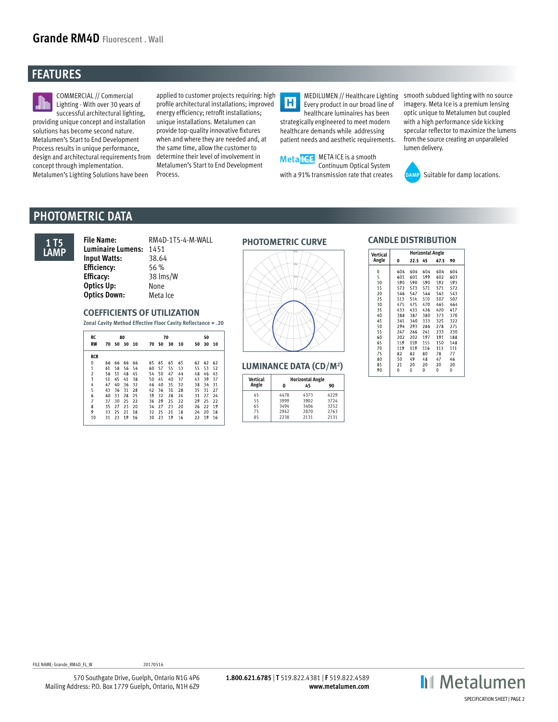# **FEATURES**



COMMERCIAL // Commercial Lighting - With over 30 years of successful architectural lighting, providing unique concept and installation solutions has become second nature. Metalumen's Start to End Development Process results in unique performance, design and architectural requirements from concept through implementation. Metalumen's Lighting Solutions have been

applied to customer projects requiring: high profile architectural installations; improved energy efficiency; retrofit installations; unique installations. Metalumen can provide top-quality innovative fixtures when and where they are needed and, at the same time, allow the customer to determine their level of involvement in Metalumen's Start to End Development Process.

 $\overline{\mathbf{H}}$ Every product in our broad line of healthcare luminaires has been strategically engineered to meet modern healthcare demands while addressing patient needs and aesthetic requirements.



MEDILUMEN // Healthcare Lighting smooth subdued lighting with no source imagery. Meta Ice is a premium lensing optic unique to Metalumen but coupled with a high performance side kicking specular reflector to maximize the lumens from the source creating an unparalleled lumen delivery.



DAMP Suitable for damp locations.

## **PHOTOMETRIC DATA**



**PHOTOMETRIC CURVE File Name:** RM4D-1T5-4-M-WALL **Luminaire Lumens:** 1451 **Input Watts:** 38.64 **Efficiency:** 56 % **Efficacy:** 38 lms/W **Optics Up:** None **Optics Down:** Meta Ice

### **COEFFICIENTS OF UTILIZATION**

**Zonal Cavity Method Effective Floor Cavity Reflectance = .20**

| RC             |    |    | 80    |    |    |    | 70 |    | 50 |    |    |  |
|----------------|----|----|-------|----|----|----|----|----|----|----|----|--|
| <b>RW</b>      | 70 |    | 50 30 | 10 | 70 | 50 | 30 | 10 | 50 | 30 | 10 |  |
| <b>RCR</b>     |    |    |       |    |    |    |    |    |    |    |    |  |
| 0              | 66 | 66 | 66    | 66 | 65 | 65 | 65 | 65 | 62 | 62 | 62 |  |
| $\mathbf{1}$   | 61 | 58 | 56    | 54 | 60 | 57 | 55 | 53 | 55 | 53 | 52 |  |
| $\overline{2}$ | 56 | 51 | 48    | 45 | 54 | 50 | 47 | 44 | 48 | 46 | 43 |  |
| 3              | 51 | 45 | 41    | 38 | 50 | 45 | 40 | 37 | 43 | 39 | 37 |  |
| 4              | 47 | 40 | 36    | 32 | 46 | 40 | 35 | 32 | 38 | 34 | 31 |  |
| 5              | 43 | 36 | 31    | 28 | 42 | 36 | 31 | 28 | 35 | 31 | 27 |  |
| 6              | 40 | 33 | 28    | 25 | 39 | 32 | 28 | 24 | 31 | 27 | 24 |  |
| 7              | 37 | 30 | 25    | 22 | 36 | 29 | 25 | 22 | 29 | 25 | 22 |  |
| 8              | 35 | 27 | 23    | 20 | 34 | 27 | 23 | 20 | 26 | 22 | 19 |  |
| 9              | 33 | 25 | 21    | 18 | 32 | 25 | 21 | 18 | 24 | 20 | 18 |  |
| 10             | 31 | 23 | 19    | 16 | 30 | 23 | 19 | 16 | 22 | 19 | 16 |  |



**LUMINANCE DATA (CD/M2 )**

| Vertical |      | <b>Horizontal Angle</b> |      |  |  |
|----------|------|-------------------------|------|--|--|
| Angle    | O    | 45                      | 90   |  |  |
| 45       | 4478 | 4373                    | 4229 |  |  |
| 55       | 3999 | 3902                    | 3724 |  |  |
| 65       | 3494 | 3406                    | 3252 |  |  |
| 75       | 2942 | 2870                    | 2763 |  |  |
| 85       | 2238 | 2131                    | 2131 |  |  |

#### **CANDLE DISTRIBUTION**

| Vertical |          |      | <b>Horizontal Angle</b> |          |     |  |
|----------|----------|------|-------------------------|----------|-----|--|
| Angle    | 0        | 22.5 | 45                      | 67.5     | 90  |  |
| 0        | 604      | 604  | 604                     | 604      | 604 |  |
| 5        | 601      | 601  | 599                     | 602      | 603 |  |
| 10       | 590      | 590  | 590                     | 592      | 593 |  |
| 15       | 572      | 573  | 571                     | 571      | 572 |  |
| 20       | 546      | 547  | 544                     | 543      | 543 |  |
| 25       | 513      | 514  | 510                     | 507      | 507 |  |
| 30       | 475      | 475  | 470                     | 465      | 464 |  |
| 35       | 433      | 433  | 426                     | 420      | 417 |  |
| 40       | 388      | 387  | 380                     | 373      | 370 |  |
| 45       | 341      | 340  | 333                     | 325      | 322 |  |
| 50       | 294      | 293  | 286                     | 278      | 275 |  |
| 55       | 247      | 246  | 241                     | 233      | 230 |  |
| 60       | 202      | 202  | 197                     | 191      | 188 |  |
| 65       | 159      | 159  | 155                     | 150      | 148 |  |
| 70       | 119      | 119  | 116                     | 113      | 111 |  |
| 75       | 82       | 82   | 80                      | 78       | 77  |  |
| 80       | 50       | 49   | 48                      | 47       | 46  |  |
| 85       | 21       | 20   | 20                      | 20       | 20  |  |
| $\circ$  | $\Omega$ | n    | Ò                       | $\Omega$ | Ò   |  |

FILE NAME: Grande RM4D FL W 20170516